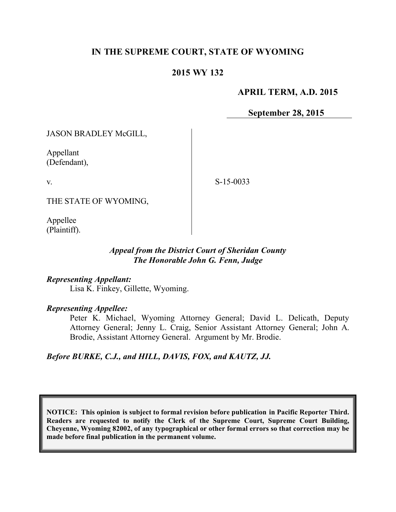# **IN THE SUPREME COURT, STATE OF WYOMING**

## **2015 WY 132**

### **APRIL TERM, A.D. 2015**

**September 28, 2015**

JASON BRADLEY McGILL,

Appellant (Defendant),

v.

S-15-0033

THE STATE OF WYOMING,

Appellee (Plaintiff).

### *Appeal from the District Court of Sheridan County The Honorable John G. Fenn, Judge*

#### *Representing Appellant:*

Lisa K. Finkey, Gillette, Wyoming.

#### *Representing Appellee:*

Peter K. Michael, Wyoming Attorney General; David L. Delicath, Deputy Attorney General; Jenny L. Craig, Senior Assistant Attorney General; John A. Brodie, Assistant Attorney General. Argument by Mr. Brodie.

#### *Before BURKE, C.J., and HILL, DAVIS, FOX, and KAUTZ, JJ.*

**NOTICE: This opinion is subject to formal revision before publication in Pacific Reporter Third. Readers are requested to notify the Clerk of the Supreme Court, Supreme Court Building, Cheyenne, Wyoming 82002, of any typographical or other formal errors so that correction may be made before final publication in the permanent volume.**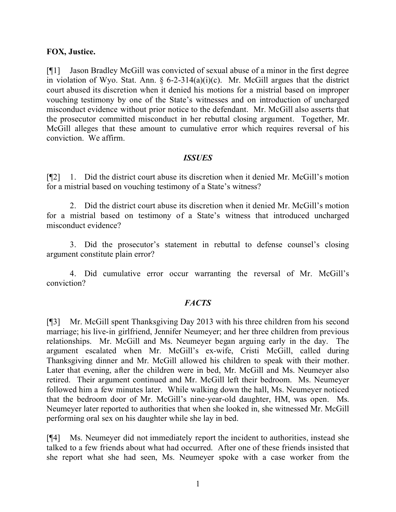### **FOX, Justice.**

[¶1] Jason Bradley McGill was convicted of sexual abuse of a minor in the first degree in violation of Wyo. Stat. Ann.  $\S$  6-2-314(a)(i)(c). Mr. McGill argues that the district court abused its discretion when it denied his motions for a mistrial based on improper vouching testimony by one of the State's witnesses and on introduction of uncharged misconduct evidence without prior notice to the defendant. Mr. McGill also asserts that the prosecutor committed misconduct in her rebuttal closing argument. Together, Mr. McGill alleges that these amount to cumulative error which requires reversal of his conviction. We affirm.

#### *ISSUES*

[¶2] 1. Did the district court abuse its discretion when it denied Mr. McGill's motion for a mistrial based on vouching testimony of a State's witness?

2. Did the district court abuse its discretion when it denied Mr. McGill's motion for a mistrial based on testimony of a State's witness that introduced uncharged misconduct evidence?

3. Did the prosecutor's statement in rebuttal to defense counsel's closing argument constitute plain error?

4. Did cumulative error occur warranting the reversal of Mr. McGill's conviction?

## *FACTS*

[¶3] Mr. McGill spent Thanksgiving Day 2013 with his three children from his second marriage; his live-in girlfriend, Jennifer Neumeyer; and her three children from previous relationships. Mr. McGill and Ms. Neumeyer began arguing early in the day. The argument escalated when Mr. McGill's ex-wife, Cristi McGill, called during Thanksgiving dinner and Mr. McGill allowed his children to speak with their mother. Later that evening, after the children were in bed, Mr. McGill and Ms. Neumeyer also retired. Their argument continued and Mr. McGill left their bedroom. Ms. Neumeyer followed him a few minutes later. While walking down the hall, Ms. Neumeyer noticed that the bedroom door of Mr. McGill's nine-year-old daughter, HM, was open. Ms. Neumeyer later reported to authorities that when she looked in, she witnessed Mr. McGill performing oral sex on his daughter while she lay in bed.

[¶4] Ms. Neumeyer did not immediately report the incident to authorities, instead she talked to a few friends about what had occurred. After one of these friends insisted that she report what she had seen, Ms. Neumeyer spoke with a case worker from the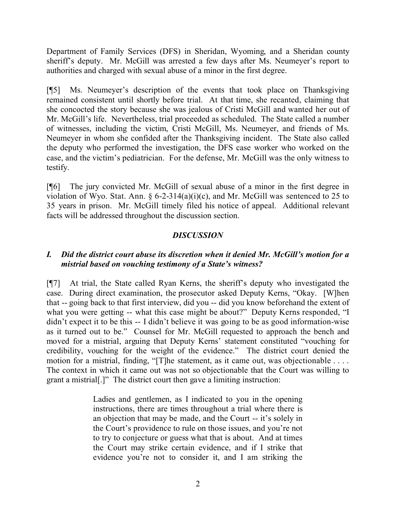Department of Family Services (DFS) in Sheridan, Wyoming, and a Sheridan county sheriff's deputy. Mr. McGill was arrested a few days after Ms. Neumeyer's report to authorities and charged with sexual abuse of a minor in the first degree.

[¶5] Ms. Neumeyer's description of the events that took place on Thanksgiving remained consistent until shortly before trial. At that time, she recanted, claiming that she concocted the story because she was jealous of Cristi McGill and wanted her out of Mr. McGill's life. Nevertheless, trial proceeded as scheduled. The State called a number of witnesses, including the victim, Cristi McGill, Ms. Neumeyer, and friends of Ms. Neumeyer in whom she confided after the Thanksgiving incident. The State also called the deputy who performed the investigation, the DFS case worker who worked on the case, and the victim's pediatrician. For the defense, Mr. McGill was the only witness to testify.

[¶6] The jury convicted Mr. McGill of sexual abuse of a minor in the first degree in violation of Wyo. Stat. Ann.  $\S 6$ -2-314(a)(i)(c), and Mr. McGill was sentenced to 25 to 35 years in prison. Mr. McGill timely filed his notice of appeal. Additional relevant facts will be addressed throughout the discussion section.

## *DISCUSSION*

## *I. Did the district court abuse its discretion when it denied Mr. McGill's motion for a mistrial based on vouching testimony of a State's witness?*

[¶7] At trial, the State called Ryan Kerns, the sheriff's deputy who investigated the case. During direct examination, the prosecutor asked Deputy Kerns, "Okay. [W]hen that -- going back to that first interview, did you -- did you know beforehand the extent of what you were getting -- what this case might be about?" Deputy Kerns responded, "I didn't expect it to be this -- I didn't believe it was going to be as good information-wise as it turned out to be." Counsel for Mr. McGill requested to approach the bench and moved for a mistrial, arguing that Deputy Kerns' statement constituted "vouching for credibility, vouching for the weight of the evidence." The district court denied the motion for a mistrial, finding, "[T]he statement, as it came out, was objectionable . . . . The context in which it came out was not so objectionable that the Court was willing to grant a mistrial[.]" The district court then gave a limiting instruction:

> Ladies and gentlemen, as I indicated to you in the opening instructions, there are times throughout a trial where there is an objection that may be made, and the Court -- it's solely in the Court's providence to rule on those issues, and you're not to try to conjecture or guess what that is about. And at times the Court may strike certain evidence, and if I strike that evidence you're not to consider it, and I am striking the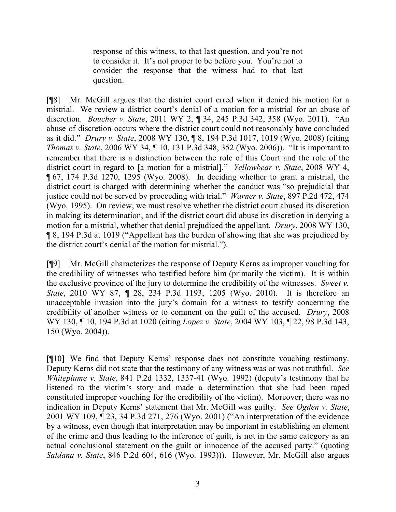response of this witness, to that last question, and you're not to consider it. It's not proper to be before you. You're not to consider the response that the witness had to that last question.

[¶8] Mr. McGill argues that the district court erred when it denied his motion for a mistrial. We review a district court's denial of a motion for a mistrial for an abuse of discretion. *Boucher v. State*, 2011 WY 2, ¶ 34, 245 P.3d 342, 358 (Wyo. 2011). "An abuse of discretion occurs where the district court could not reasonably have concluded as it did." *Drury v. State*, 2008 WY 130, ¶ 8, 194 P.3d 1017, 1019 (Wyo. 2008) (citing *Thomas v. State*, 2006 WY 34, ¶ 10, 131 P.3d 348, 352 (Wyo. 2006)). "It is important to remember that there is a distinction between the role of this Court and the role of the district court in regard to [a motion for a mistrial]." *Yellowbear v. State*, 2008 WY 4, ¶ 67, 174 P.3d 1270, 1295 (Wyo. 2008). In deciding whether to grant a mistrial, the district court is charged with determining whether the conduct was "so prejudicial that justice could not be served by proceeding with trial." *Warner v. State*, 897 P.2d 472, 474 (Wyo. 1995). On review, we must resolve whether the district court abused its discretion in making its determination, and if the district court did abuse its discretion in denying a motion for a mistrial, whether that denial prejudiced the appellant. *Drury*, 2008 WY 130, ¶ 8, 194 P.3d at 1019 ("Appellant has the burden of showing that she was prejudiced by the district court's denial of the motion for mistrial.").

[¶9] Mr. McGill characterizes the response of Deputy Kerns as improper vouching for the credibility of witnesses who testified before him (primarily the victim). It is within the exclusive province of the jury to determine the credibility of the witnesses. *Sweet v. State*, 2010 WY 87, ¶ 28, 234 P.3d 1193, 1205 (Wyo. 2010). It is therefore an unacceptable invasion into the jury's domain for a witness to testify concerning the credibility of another witness or to comment on the guilt of the accused. *Drury*, 2008 WY 130, ¶ 10, 194 P.3d at 1020 (citing *Lopez v. State*, 2004 WY 103, ¶ 22, 98 P.3d 143, 150 (Wyo. 2004)).

[¶10] We find that Deputy Kerns' response does not constitute vouching testimony. Deputy Kerns did not state that the testimony of any witness was or was not truthful. *See Whiteplume v. State*, 841 P.2d 1332, 1337-41 (Wyo. 1992) (deputy's testimony that he listened to the victim's story and made a determination that she had been raped constituted improper vouching for the credibility of the victim). Moreover, there was no indication in Deputy Kerns' statement that Mr. McGill was guilty. *See Ogden v. State*, 2001 WY 109, ¶ 23, 34 P.3d 271, 276 (Wyo. 2001) ("An interpretation of the evidence by a witness, even though that interpretation may be important in establishing an element of the crime and thus leading to the inference of guilt, is not in the same category as an actual conclusional statement on the guilt or innocence of the accused party." (quoting *Saldana v. State*, 846 P.2d 604, 616 (Wyo. 1993))). However, Mr. McGill also argues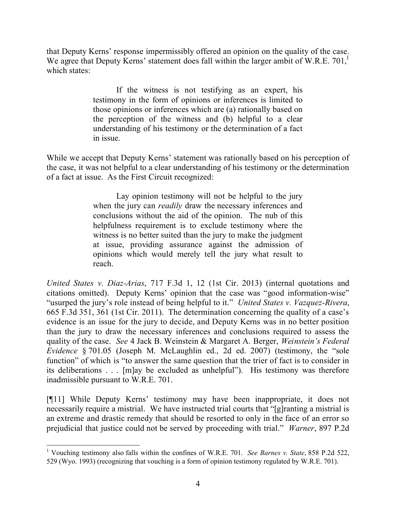that Deputy Kerns' response impermissibly offered an opinion on the quality of the case. We agree that Deputy Kerns' statement does fall within the larger ambit of W.R.E. 701,<sup>1</sup> which states:

> If the witness is not testifying as an expert, his testimony in the form of opinions or inferences is limited to those opinions or inferences which are (a) rationally based on the perception of the witness and (b) helpful to a clear understanding of his testimony or the determination of a fact in issue.

While we accept that Deputy Kerns' statement was rationally based on his perception of the case, it was not helpful to a clear understanding of his testimony or the determination of a fact at issue. As the First Circuit recognized:

> Lay opinion testimony will not be helpful to the jury when the jury can *readily* draw the necessary inferences and conclusions without the aid of the opinion. The nub of this helpfulness requirement is to exclude testimony where the witness is no better suited than the jury to make the judgment at issue, providing assurance against the admission of opinions which would merely tell the jury what result to reach.

*United States v. Diaz-Arias*, 717 F.3d 1, 12 (1st Cir. 2013) (internal quotations and citations omitted). Deputy Kerns' opinion that the case was "good information-wise" "usurped the jury's role instead of being helpful to it." *United States v. Vazquez-Rivera*, 665 F.3d 351, 361 (1st Cir. 2011). The determination concerning the quality of a case's evidence is an issue for the jury to decide, and Deputy Kerns was in no better position than the jury to draw the necessary inferences and conclusions required to assess the quality of the case. *See* 4 Jack B. Weinstein & Margaret A. Berger, *Weinstein's Federal Evidence* § 701.05 (Joseph M. McLaughlin ed., 2d ed. 2007) (testimony, the "sole function" of which is "to answer the same question that the trier of fact is to consider in its deliberations . . . [m]ay be excluded as unhelpful"). His testimony was therefore inadmissible pursuant to W.R.E. 701.

[¶11] While Deputy Kerns' testimony may have been inappropriate, it does not necessarily require a mistrial. We have instructed trial courts that "[g]ranting a mistrial is an extreme and drastic remedy that should be resorted to only in the face of an error so prejudicial that justice could not be served by proceeding with trial." *Warner*, 897 P.2d

 <sup>1</sup> Vouching testimony also falls within the confines of W.R.E. 701. *See Barnes v. State*, 858 P.2d 522, 529 (Wyo. 1993) (recognizing that vouching is a form of opinion testimony regulated by W.R.E. 701).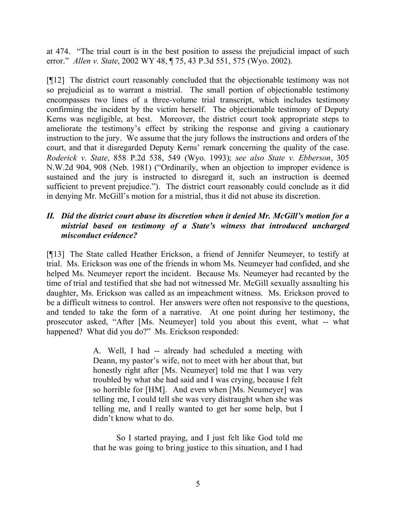at 474. "The trial court is in the best position to assess the prejudicial impact of such error." *Allen v. State*, 2002 WY 48, ¶ 75, 43 P.3d 551, 575 (Wyo. 2002).

[¶12] The district court reasonably concluded that the objectionable testimony was not so prejudicial as to warrant a mistrial. The small portion of objectionable testimony encompasses two lines of a three-volume trial transcript, which includes testimony confirming the incident by the victim herself. The objectionable testimony of Deputy Kerns was negligible, at best. Moreover, the district court took appropriate steps to ameliorate the testimony's effect by striking the response and giving a cautionary instruction to the jury. We assume that the jury follows the instructions and orders of the court, and that it disregarded Deputy Kerns' remark concerning the quality of the case. *Roderick v. State*, 858 P.2d 538, 549 (Wyo. 1993); *see also State v. Ebberson*, 305 N.W.2d 904, 908 (Neb. 1981) ("Ordinarily, when an objection to improper evidence is sustained and the jury is instructed to disregard it, such an instruction is deemed sufficient to prevent prejudice."). The district court reasonably could conclude as it did in denying Mr. McGill's motion for a mistrial, thus it did not abuse its discretion.

## *II. Did the district court abuse its discretion when it denied Mr. McGill's motion for a mistrial based on testimony of a State's witness that introduced uncharged misconduct evidence?*

[¶13] The State called Heather Erickson, a friend of Jennifer Neumeyer, to testify at trial. Ms. Erickson was one of the friends in whom Ms. Neumeyer had confided, and she helped Ms. Neumeyer report the incident. Because Ms. Neumeyer had recanted by the time of trial and testified that she had not witnessed Mr. McGill sexually assaulting his daughter, Ms. Erickson was called as an impeachment witness. Ms. Erickson proved to be a difficult witness to control. Her answers were often not responsive to the questions, and tended to take the form of a narrative. At one point during her testimony, the prosecutor asked, "After [Ms. Neumeyer] told you about this event, what -- what happened? What did you do?" Ms. Erickson responded:

> A. Well, I had -- already had scheduled a meeting with Deann, my pastor's wife, not to meet with her about that, but honestly right after [Ms. Neumeyer] told me that I was very troubled by what she had said and I was crying, because I felt so horrible for [HM]. And even when [Ms. Neumeyer] was telling me, I could tell she was very distraught when she was telling me, and I really wanted to get her some help, but I didn't know what to do.

> So I started praying, and I just felt like God told me that he was going to bring justice to this situation, and I had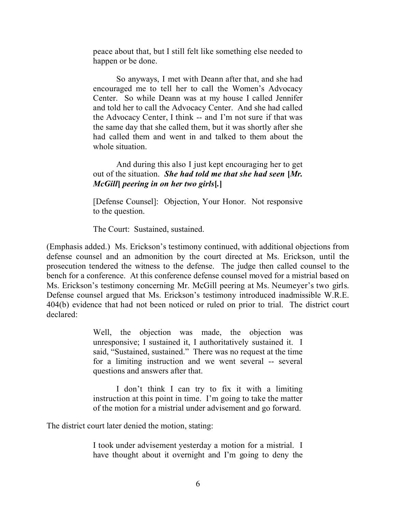peace about that, but I still felt like something else needed to happen or be done.

So anyways, I met with Deann after that, and she had encouraged me to tell her to call the Women's Advocacy Center. So while Deann was at my house I called Jennifer and told her to call the Advocacy Center. And she had called the Advocacy Center, I think -- and I'm not sure if that was the same day that she called them, but it was shortly after she had called them and went in and talked to them about the whole situation.

And during this also I just kept encouraging her to get out of the situation. *She had told me that she had seen* **[***Mr. McGill***]** *peering in on her two girls***[***.***]**

[Defense Counsel]: Objection, Your Honor. Not responsive to the question.

The Court: Sustained, sustained.

(Emphasis added.) Ms. Erickson's testimony continued, with additional objections from defense counsel and an admonition by the court directed at Ms. Erickson, until the prosecution tendered the witness to the defense. The judge then called counsel to the bench for a conference. At this conference defense counsel moved for a mistrial based on Ms. Erickson's testimony concerning Mr. McGill peering at Ms. Neumeyer's two girls. Defense counsel argued that Ms. Erickson's testimony introduced inadmissible W.R.E. 404(b) evidence that had not been noticed or ruled on prior to trial. The district court declared:

> Well, the objection was made, the objection was unresponsive; I sustained it, I authoritatively sustained it. I said, "Sustained, sustained." There was no request at the time for a limiting instruction and we went several -- several questions and answers after that.

> I don't think I can try to fix it with a limiting instruction at this point in time. I'm going to take the matter of the motion for a mistrial under advisement and go forward.

The district court later denied the motion, stating:

I took under advisement yesterday a motion for a mistrial. I have thought about it overnight and I'm going to deny the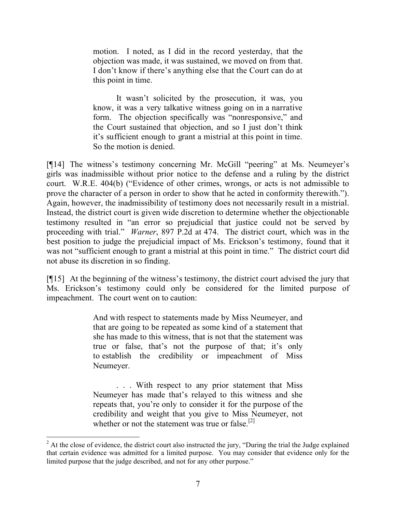motion. I noted, as I did in the record yesterday, that the objection was made, it was sustained, we moved on from that. I don't know if there's anything else that the Court can do at this point in time.

It wasn't solicited by the prosecution, it was, you know, it was a very talkative witness going on in a narrative form. The objection specifically was "nonresponsive," and the Court sustained that objection, and so I just don't think it's sufficient enough to grant a mistrial at this point in time. So the motion is denied.

[¶14] The witness's testimony concerning Mr. McGill "peering" at Ms. Neumeyer's girls was inadmissible without prior notice to the defense and a ruling by the district court. W.R.E. 404(b) ("Evidence of other crimes, wrongs, or acts is not admissible to prove the character of a person in order to show that he acted in conformity therewith."). Again, however, the inadmissibility of testimony does not necessarily result in a mistrial. Instead, the district court is given wide discretion to determine whether the objectionable testimony resulted in "an error so prejudicial that justice could not be served by proceeding with trial." *Warner*, 897 P.2d at 474. The district court, which was in the best position to judge the prejudicial impact of Ms. Erickson's testimony, found that it was not "sufficient enough to grant a mistrial at this point in time." The district court did not abuse its discretion in so finding.

[¶15] At the beginning of the witness's testimony, the district court advised the jury that Ms. Erickson's testimony could only be considered for the limited purpose of impeachment. The court went on to caution:

> And with respect to statements made by Miss Neumeyer, and that are going to be repeated as some kind of a statement that she has made to this witness, that is not that the statement was true or false, that's not the purpose of that; it's only to establish the credibility or impeachment of Miss Neumeyer.

> . . . With respect to any prior statement that Miss Neumeyer has made that's relayed to this witness and she repeats that, you're only to consider it for the purpose of the credibility and weight that you give to Miss Neumeyer, not whether or not the statement was true or false.<sup>[2]</sup>

  $2^2$  At the close of evidence, the district court also instructed the jury, "During the trial the Judge explained that certain evidence was admitted for a limited purpose. You may consider that evidence only for the limited purpose that the judge described, and not for any other purpose."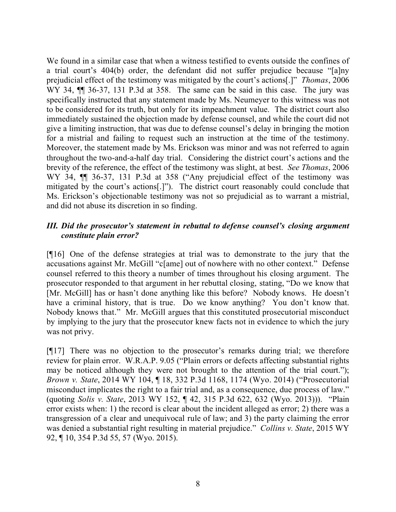We found in a similar case that when a witness testified to events outside the confines of a trial court's 404(b) order, the defendant did not suffer prejudice because "[a]ny prejudicial effect of the testimony was mitigated by the court's actions[.]" *Thomas*, 2006 WY 34,  $\P$  36-37, 131 P.3d at 358. The same can be said in this case. The jury was specifically instructed that any statement made by Ms. Neumeyer to this witness was not to be considered for its truth, but only for its impeachment value. The district court also immediately sustained the objection made by defense counsel, and while the court did not give a limiting instruction, that was due to defense counsel's delay in bringing the motion for a mistrial and failing to request such an instruction at the time of the testimony. Moreover, the statement made by Ms. Erickson was minor and was not referred to again throughout the two-and-a-half day trial. Considering the district court's actions and the brevity of the reference, the effect of the testimony was slight, at best. *See Thomas*, 2006 WY 34,  $\P$  36-37, 131 P.3d at 358 ("Any prejudicial effect of the testimony was mitigated by the court's actions[.]"). The district court reasonably could conclude that Ms. Erickson's objectionable testimony was not so prejudicial as to warrant a mistrial, and did not abuse its discretion in so finding.

## *III. Did the prosecutor's statement in rebuttal to defense counsel's closing argument constitute plain error?*

[¶16] One of the defense strategies at trial was to demonstrate to the jury that the accusations against Mr. McGill "c[ame] out of nowhere with no other context." Defense counsel referred to this theory a number of times throughout his closing argument. The prosecutor responded to that argument in her rebuttal closing, stating, "Do we know that [Mr. McGill] has or hasn't done anything like this before? Nobody knows. He doesn't have a criminal history, that is true. Do we know anything? You don't know that. Nobody knows that." Mr. McGill argues that this constituted prosecutorial misconduct by implying to the jury that the prosecutor knew facts not in evidence to which the jury was not privy.

[¶17] There was no objection to the prosecutor's remarks during trial; we therefore review for plain error. W.R.A.P. 9.05 ("Plain errors or defects affecting substantial rights may be noticed although they were not brought to the attention of the trial court."); *Brown v. State*, 2014 WY 104, ¶ 18, 332 P.3d 1168, 1174 (Wyo. 2014) ("Prosecutorial misconduct implicates the right to a fair trial and, as a consequence, due process of law." (quoting *Solis v. State*, 2013 WY 152, ¶ 42, 315 P.3d 622, 632 (Wyo. 2013))). "Plain error exists when: 1) the record is clear about the incident alleged as error; 2) there was a transgression of a clear and unequivocal rule of law; and 3) the party claiming the error was denied a substantial right resulting in material prejudice." *Collins v. State*, 2015 WY 92, ¶ 10, 354 P.3d 55, 57 (Wyo. 2015).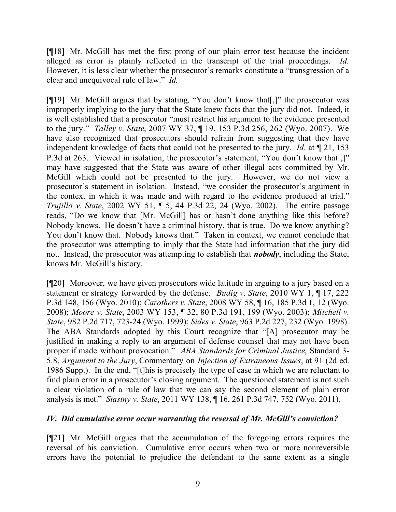[¶18] Mr. McGill has met the first prong of our plain error test because the incident alleged as error is plainly reflected in the transcript of the trial proceedings. *Id.* However, it is less clear whether the prosecutor's remarks constitute a "transgression of a clear and unequivocal rule of law." *Id.*

[¶19] Mr. McGill argues that by stating, "You don't know that[,]" the prosecutor was improperly implying to the jury that the State knew facts that the jury did not. Indeed, it is well established that a prosecutor "must restrict his argument to the evidence presented to the jury." *Talley v. State*, 2007 WY 37, ¶ 19, 153 P.3d 256, 262 (Wyo. 2007). We have also recognized that prosecutors should refrain from suggesting that they have independent knowledge of facts that could not be presented to the jury. *Id.* at ¶ 21, 153 P.3d at 263. Viewed in isolation, the prosecutor's statement, "You don't know that[,]" may have suggested that the State was aware of other illegal acts committed by Mr. McGill which could not be presented to the jury. However, we do not view a prosecutor's statement in isolation. Instead, "we consider the prosecutor's argument in the context in which it was made and with regard to the evidence produced at trial." *Trujillo v. State*, 2002 WY 51, ¶ 5, 44 P.3d 22, 24 (Wyo. 2002). The entire passage reads, "Do we know that [Mr. McGill] has or hasn't done anything like this before? Nobody knows. He doesn't have a criminal history, that is true. Do we know anything? You don't know that. Nobody knows that." Taken in context, we cannot conclude that the prosecutor was attempting to imply that the State had information that the jury did not. Instead, the prosecutor was attempting to establish that *nobody*, including the State, knows Mr. McGill's history.

[¶20] Moreover, we have given prosecutors wide latitude in arguing to a jury based on a statement or strategy forwarded by the defense. *Budig v. State*, 2010 WY 1, ¶ 17, 222 P.3d 148, 156 (Wyo. 2010); *Carothers v. State*, 2008 WY 58, ¶ 16, 185 P.3d 1, 12 (Wyo. 2008); *Moore v. State*, 2003 WY 153, ¶ 32, 80 P.3d 191, 199 (Wyo. 2003); *Mitchell v. State*, 982 P.2d 717, 723-24 (Wyo. 1999); *Sides v. State*, 963 P.2d 227, 232 (Wyo. 1998). The ABA Standards adopted by this Court recognize that "[A] prosecutor may be justified in making a reply to an argument of defense counsel that may not have been proper if made without provocation." *ABA Standards for Criminal Justice*, Standard 3- 5.8, *Argument to the Jury*, Commentary on *Injection of Extraneous Issues*, at 91 (2d ed. 1986 Supp.). In the end, "[t]his is precisely the type of case in which we are reluctant to find plain error in a prosecutor's closing argument. The questioned statement is not such a clear violation of a rule of law that we can say the second element of plain error analysis is met." *Stastny v. State*, 2011 WY 138, ¶ 16, 261 P.3d 747, 752 (Wyo. 2011).

## *IV. Did cumulative error occur warranting the reversal of Mr. McGill's conviction?*

[¶21] Mr. McGill argues that the accumulation of the foregoing errors requires the reversal of his conviction. Cumulative error occurs when two or more nonreversible errors have the potential to prejudice the defendant to the same extent as a single